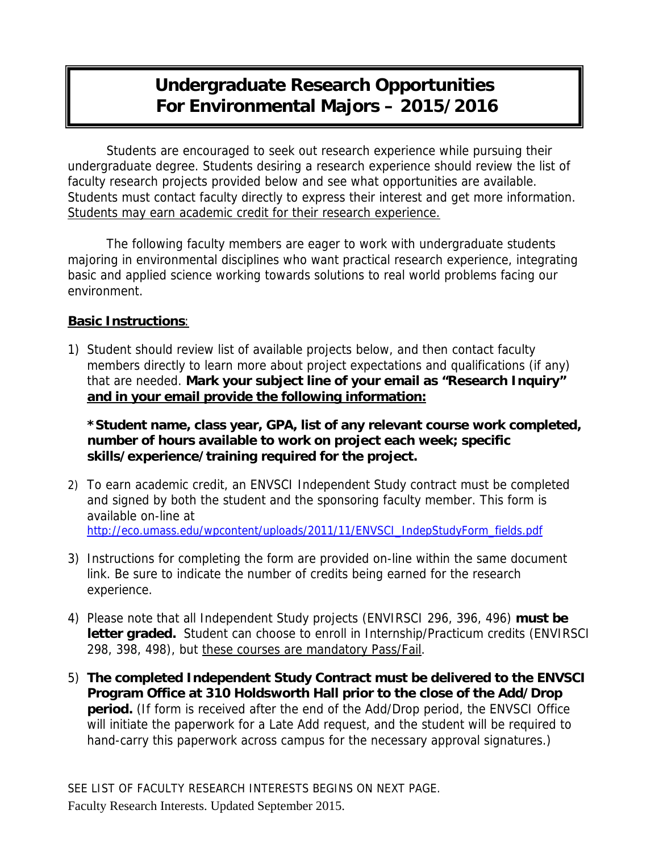## **Undergraduate Research Opportunities For Environmental Majors – 2015/2016**

Students are encouraged to seek out research experience while pursuing their undergraduate degree. Students desiring a research experience should review the list of faculty research projects provided below and see what opportunities are available. Students must contact faculty directly to express their interest and get more information. Students may earn academic credit for their research experience.

The following faculty members are eager to work with undergraduate students majoring in environmental disciplines who want practical research experience, integrating basic and applied science working towards solutions to real world problems facing our environment.

### **Basic Instructions**:

1) Student should review list of available projects below, and then contact faculty members directly to learn more about project expectations and qualifications (if any) that are needed. **Mark your subject line of your email as "Research Inquiry" and in your email provide the following information:** 

**\*Student name, class year, GPA, list of any relevant course work completed, number of hours available to work on project each week; specific skills/experience/training required for the project.** 

- 2) To earn academic credit, an ENVSCI Independent Study contract must be completed and signed by both the student and the sponsoring faculty member. This form is available on-line at http://eco.umass.edu/wpcontent/uploads/2011/11/ENVSCI\_IndepStudyForm\_fields.pdf
- 3) Instructions for completing the form are provided on-line within the same document link. Be sure to indicate the number of credits being earned for the research experience.
- 4) Please note that all Independent Study projects (ENVIRSCI 296, 396, 496) **must be letter graded.** Student can choose to enroll in Internship/Practicum credits (ENVIRSCI 298, 398, 498), but these courses are mandatory Pass/Fail.
- 5) **The completed Independent Study Contract must be delivered to the ENVSCI Program Office at 310 Holdsworth Hall prior to the close of the Add/Drop period.** (If form is received after the end of the Add/Drop period, the ENVSCI Office will initiate the paperwork for a Late Add request, and the student will be required to hand-carry this paperwork across campus for the necessary approval signatures.)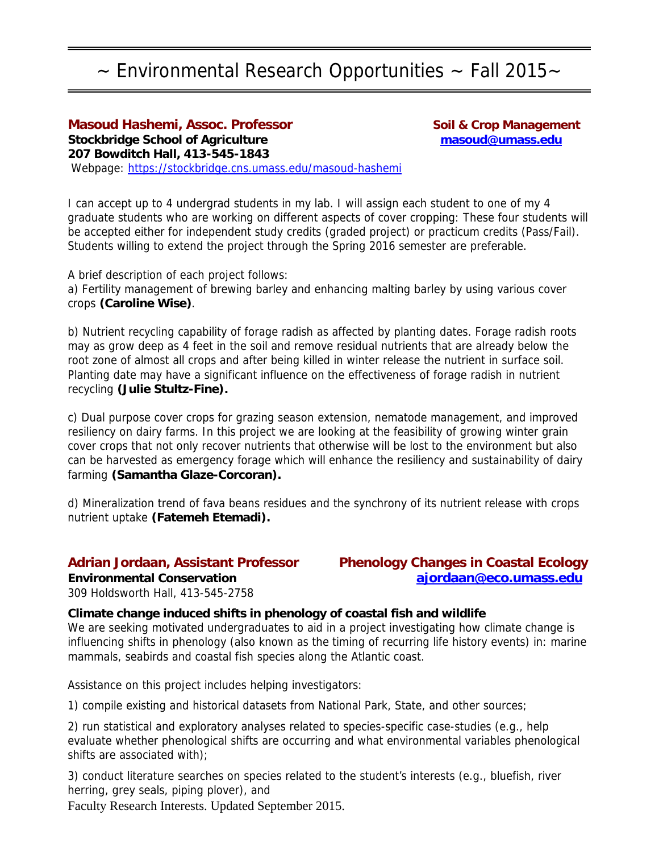## $\sim$  Environmental Research Opportunities  $\sim$  Fall 2015 $\sim$

### **Masoud Hashemi, Assoc. Professor Management Communist Crop Management Stockbridge School of Agriculture masoud@umass.edu 207 Bowditch Hall, 413-545-1843**  Webpage: https://stockbridge.cns.umass.edu/masoud-hashemi

I can accept up to 4 undergrad students in my lab. I will assign each student to one of my 4 graduate students who are working on different aspects of cover cropping: These four students will be accepted either for independent study credits (graded project) or practicum credits (Pass/Fail). Students willing to extend the project through the Spring 2016 semester are preferable.

A brief description of each project follows: a) Fertility management of brewing barley and enhancing malting barley by using various cover crops **(Caroline Wise)**.

b) Nutrient recycling capability of forage radish as affected by planting dates. Forage radish roots may as grow deep as 4 feet in the soil and remove residual nutrients that are already below the root zone of almost all crops and after being killed in winter release the nutrient in surface soil. Planting date may have a significant influence on the effectiveness of forage radish in nutrient recycling **(Julie Stultz-Fine).**

c) Dual purpose cover crops for grazing season extension, nematode management, and improved resiliency on dairy farms. In this project we are looking at the feasibility of growing winter grain cover crops that not only recover nutrients that otherwise will be lost to the environment but also can be harvested as emergency forage which will enhance the resiliency and sustainability of dairy farming **(Samantha Glaze-Corcoran).**

d) Mineralization trend of fava beans residues and the synchrony of its nutrient release with crops nutrient uptake **(Fatemeh Etemadi).** 

**Adrian Jordaan, Assistant Professor Phenology Changes in Coastal Ecology Environmental Conservation ajordaan@eco.umass.edu** 

309 Holdsworth Hall, 413-545-2758

**Climate change induced shifts in phenology of coastal fish and wildlife**  We are seeking motivated undergraduates to aid in a project investigating how climate change is influencing shifts in phenology (also known as the timing of recurring life history events) in: marine mammals, seabirds and coastal fish species along the Atlantic coast.

Assistance on this project includes helping investigators:

1) compile existing and historical datasets from National Park, State, and other sources;

2) run statistical and exploratory analyses related to species-specific case-studies (e.g., help evaluate whether phenological shifts are occurring and what environmental variables phenological shifts are associated with);

3) conduct literature searches on species related to the student's interests (e.g., bluefish, river herring, grey seals, piping plover), and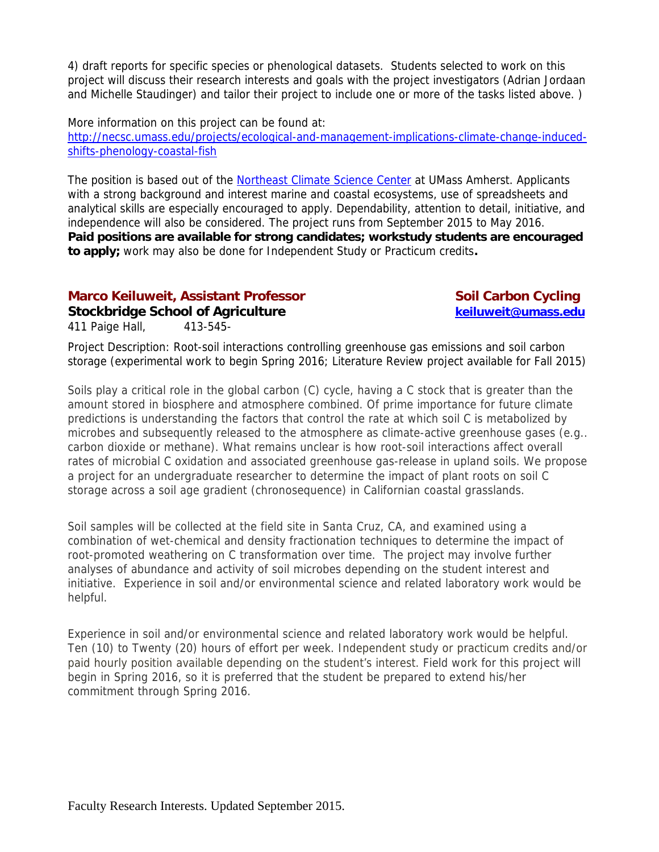4) draft reports for specific species or phenological datasets. Students selected to work on this project will discuss their research interests and goals with the project investigators (Adrian Jordaan and Michelle Staudinger) and tailor their project to include one or more of the tasks listed above. )

More information on this project can be found at: http://necsc.umass.edu/projects/ecological-and-management-implications-climate-change-inducedshifts-phenology-coastal-fish

The position is based out of the Northeast Climate Science Center at UMass Amherst. Applicants with a strong background and interest marine and coastal ecosystems, use of spreadsheets and analytical skills are especially encouraged to apply. Dependability, attention to detail, initiative, and independence will also be considered. The project runs from September 2015 to May 2016. **Paid positions are available for strong candidates; workstudy students are encouraged to apply;** work may also be done for Independent Study or Practicum credits**.** 

### **Marco Keiluweit, Assistant Professor Soil Carbon Cycling Current Constant Professor**

### **Stockbridge School of Agriculture and Community Community Stockbridge School of Agriculture and Community Community**

411 Paige Hall, 413-545-

Project Description: Root-soil interactions controlling greenhouse gas emissions and soil carbon storage (experimental work to begin Spring 2016; Literature Review project available for Fall 2015)

Soils play a critical role in the global carbon (C) cycle, having a C stock that is greater than the amount stored in biosphere and atmosphere combined. Of prime importance for future climate predictions is understanding the factors that control the rate at which soil C is metabolized by microbes and subsequently released to the atmosphere as climate-active greenhouse gases (e.g.. carbon dioxide or methane). What remains unclear is how root-soil interactions affect overall rates of microbial C oxidation and associated greenhouse gas-release in upland soils. We propose a project for an undergraduate researcher to determine the impact of plant roots on soil C storage across a soil age gradient (chronosequence) in Californian coastal grasslands.

Soil samples will be collected at the field site in Santa Cruz, CA, and examined using a combination of wet-chemical and density fractionation techniques to determine the impact of root-promoted weathering on C transformation over time. The project may involve further analyses of abundance and activity of soil microbes depending on the student interest and initiative. Experience in soil and/or environmental science and related laboratory work would be helpful.

Experience in soil and/or environmental science and related laboratory work would be helpful. Ten (10) to Twenty (20) hours of effort per week. Independent study or practicum credits and/or paid hourly position available depending on the student's interest. Field work for this project will begin in Spring 2016, so it is preferred that the student be prepared to extend his/her commitment through Spring 2016.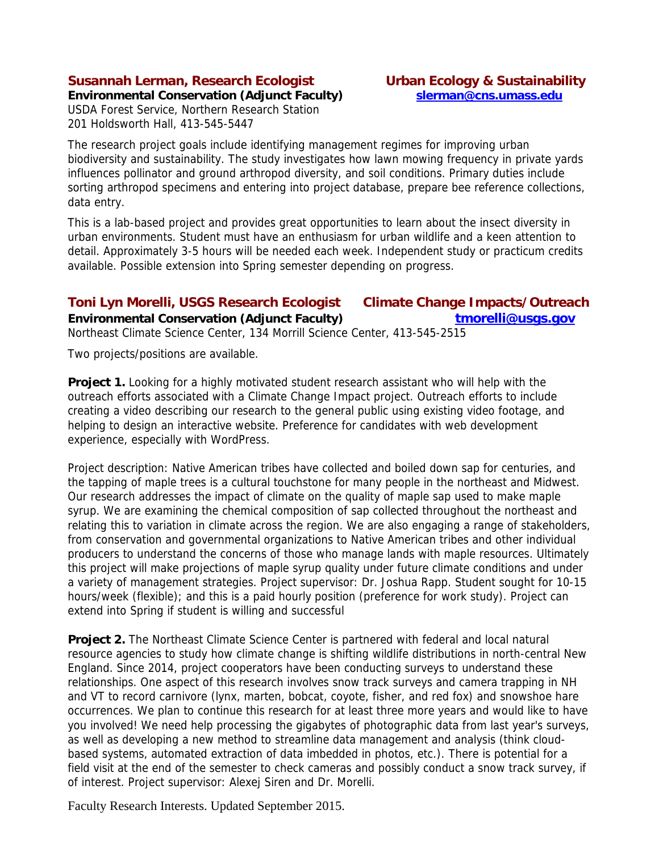### **Susannah Lerman, Research Ecologist Urban Ecology & Sustainability**

**Environmental Conservation (Adjunct Faculty) slerman@cns.umass.edu** 

USDA Forest Service, Northern Research Station 201 Holdsworth Hall, 413-545-5447

The research project goals include identifying management regimes for improving urban biodiversity and sustainability. The study investigates how lawn mowing frequency in private yards influences pollinator and ground arthropod diversity, and soil conditions. Primary duties include sorting arthropod specimens and entering into project database, prepare bee reference collections, data entry.

This is a lab-based project and provides great opportunities to learn about the insect diversity in urban environments. Student must have an enthusiasm for urban wildlife and a keen attention to detail. Approximately 3-5 hours will be needed each week. Independent study or practicum credits available. Possible extension into Spring semester depending on progress.

### **Toni Lyn Morelli, USGS Research Ecologist Climate Change Impacts/Outreach**

**Environmental Conservation (Adjunct Faculty)** and the *tmorelli@usgs.gov* 

Northeast Climate Science Center, 134 Morrill Science Center, 413-545-2515

Two projects/positions are available.

**Project 1.** Looking for a highly motivated student research assistant who will help with the outreach efforts associated with a Climate Change Impact project. Outreach efforts to include creating a video describing our research to the general public using existing video footage, and helping to design an interactive website. Preference for candidates with web development experience, especially with WordPress.

Project description: Native American tribes have collected and boiled down sap for centuries, and the tapping of maple trees is a cultural touchstone for many people in the northeast and Midwest. Our research addresses the impact of climate on the quality of maple sap used to make maple syrup. We are examining the chemical composition of sap collected throughout the northeast and relating this to variation in climate across the region. We are also engaging a range of stakeholders, from conservation and governmental organizations to Native American tribes and other individual producers to understand the concerns of those who manage lands with maple resources. Ultimately this project will make projections of maple syrup quality under future climate conditions and under a variety of management strategies. Project supervisor: Dr. Joshua Rapp. Student sought for 10-15 hours/week (flexible); and this is a paid hourly position (preference for work study). Project can extend into Spring if student is willing and successful

**Project 2.** The Northeast Climate Science Center is partnered with federal and local natural resource agencies to study how climate change is shifting wildlife distributions in north-central New England. Since 2014, project cooperators have been conducting surveys to understand these relationships. One aspect of this research involves snow track surveys and camera trapping in NH and VT to record carnivore (lynx, marten, bobcat, coyote, fisher, and red fox) and snowshoe hare occurrences. We plan to continue this research for at least three more years and would like to have you involved! We need help processing the gigabytes of photographic data from last year's surveys, as well as developing a new method to streamline data management and analysis (think cloudbased systems, automated extraction of data imbedded in photos, etc.). There is potential for a field visit at the end of the semester to check cameras and possibly conduct a snow track survey, if of interest. Project supervisor: Alexej Siren and Dr. Morelli.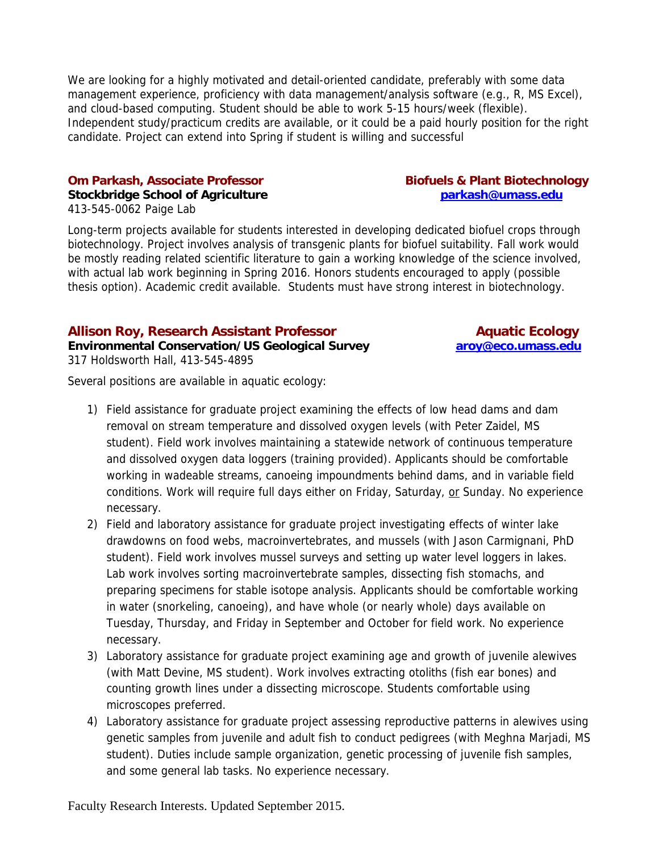We are looking for a highly motivated and detail-oriented candidate, preferably with some data management experience, proficiency with data management/analysis software (e.g., R, MS Excel), and cloud-based computing. Student should be able to work 5-15 hours/week (flexible). Independent study/practicum credits are available, or it could be a paid hourly position for the right candidate. Project can extend into Spring if student is willing and successful

### **Om Parkash, Associate Professor Biofuels & Plant Biotechnology**

### **Stockbridge School of Agriculture example 3 and 2 stockbridge School of Agriculture and 2 state parkash@umass.edu** 413-545-0062 Paige Lab

Long-term projects available for students interested in developing dedicated biofuel crops through biotechnology. Project involves analysis of transgenic plants for biofuel suitability. Fall work would be mostly reading related scientific literature to gain a working knowledge of the science involved, with actual lab work beginning in Spring 2016. Honors students encouraged to apply (possible thesis option). Academic credit available. Students must have strong interest in biotechnology.

### Allison Roy, Research Assistant Professor **Allison Bank Aquatic Ecology**

**Environmental Conservation/US Geological Survey aroy@eco.umass.edu**  317 Holdsworth Hall, 413-545-4895

Several positions are available in aquatic ecology:

- 1) Field assistance for graduate project examining the effects of low head dams and dam removal on stream temperature and dissolved oxygen levels (with Peter Zaidel, MS student). Field work involves maintaining a statewide network of continuous temperature and dissolved oxygen data loggers (training provided). Applicants should be comfortable working in wadeable streams, canoeing impoundments behind dams, and in variable field conditions. Work will require full days either on Friday, Saturday, or Sunday. No experience necessary.
- 2) Field and laboratory assistance for graduate project investigating effects of winter lake drawdowns on food webs, macroinvertebrates, and mussels (with Jason Carmignani, PhD student). Field work involves mussel surveys and setting up water level loggers in lakes. Lab work involves sorting macroinvertebrate samples, dissecting fish stomachs, and preparing specimens for stable isotope analysis. Applicants should be comfortable working in water (snorkeling, canoeing), and have whole (or nearly whole) days available on Tuesday, Thursday, and Friday in September and October for field work. No experience necessary.
- 3) Laboratory assistance for graduate project examining age and growth of juvenile alewives (with Matt Devine, MS student). Work involves extracting otoliths (fish ear bones) and counting growth lines under a dissecting microscope. Students comfortable using microscopes preferred.
- 4) Laboratory assistance for graduate project assessing reproductive patterns in alewives using genetic samples from juvenile and adult fish to conduct pedigrees (with Meghna Marjadi, MS student). Duties include sample organization, genetic processing of juvenile fish samples, and some general lab tasks. No experience necessary.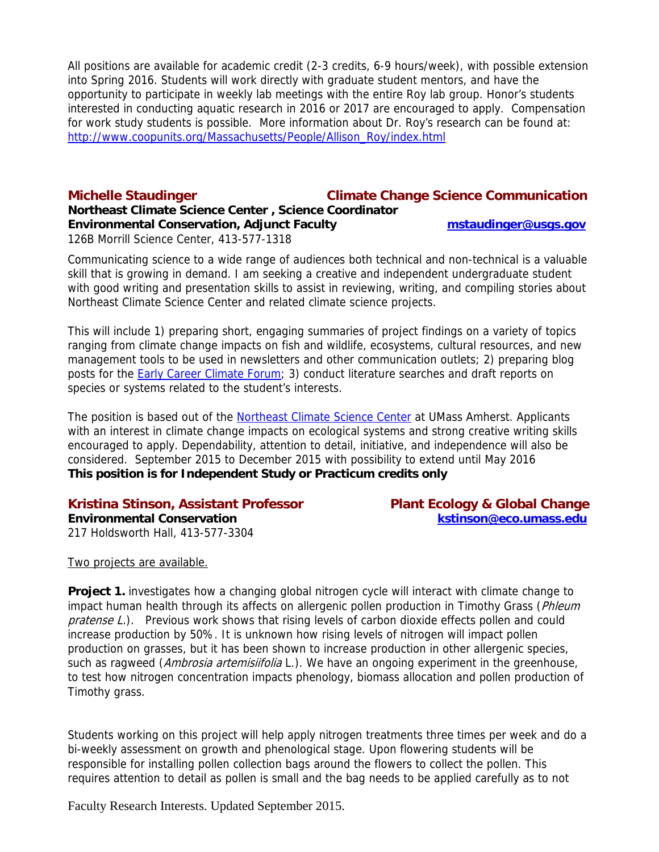All positions are available for academic credit (2-3 credits, 6-9 hours/week), with possible extension into Spring 2016. Students will work directly with graduate student mentors, and have the opportunity to participate in weekly lab meetings with the entire Roy lab group. Honor's students interested in conducting aquatic research in 2016 or 2017 are encouraged to apply. Compensation for work study students is possible. More information about Dr. Roy's research can be found at: http://www.coopunits.org/Massachusetts/People/Allison\_Roy/index.html

### **Michelle Staudinger Climate Change Science Communication Northeast Climate Science Center , Science Coordinator Environmental Conservation, Adjunct Faculty methods mstaudinger@usgs.gov** 126B Morrill Science Center, 413-577-1318

Communicating science to a wide range of audiences both technical and non-technical is a valuable skill that is growing in demand. I am seeking a creative and independent undergraduate student with good writing and presentation skills to assist in reviewing, writing, and compiling stories about Northeast Climate Science Center and related climate science projects.

This will include 1) preparing short, engaging summaries of project findings on a variety of topics ranging from climate change impacts on fish and wildlife, ecosystems, cultural resources, and new management tools to be used in newsletters and other communication outlets; 2) preparing blog posts for the Early Career Climate Forum; 3) conduct literature searches and draft reports on species or systems related to the student's interests.

The position is based out of the Northeast Climate Science Center at UMass Amherst. Applicants with an interest in climate change impacts on ecological systems and strong creative writing skills encouraged to apply. Dependability, attention to detail, initiative, and independence will also be considered. September 2015 to December 2015 with possibility to extend until May 2016 **This position is for Independent Study or Practicum credits only**

### **Kristina Stinson, Assistant Professor Plant Ecology & Global Change**

217 Holdsworth Hall, 413-577-3304

**Environmental Conservation kstinson@eco.umass.edu** 

Two projects are available.

**Project 1.** investigates how a changing global nitrogen cycle will interact with climate change to impact human health through its affects on allergenic pollen production in Timothy Grass (*Phleum* pratense L.). Previous work shows that rising levels of carbon dioxide effects pollen and could increase production by 50%. It is unknown how rising levels of nitrogen will impact pollen production on grasses, but it has been shown to increase production in other allergenic species, such as ragweed (Ambrosia artemisiifolia L.). We have an ongoing experiment in the greenhouse, to test how nitrogen concentration impacts phenology, biomass allocation and pollen production of Timothy grass.

Students working on this project will help apply nitrogen treatments three times per week and do a bi-weekly assessment on growth and phenological stage. Upon flowering students will be responsible for installing pollen collection bags around the flowers to collect the pollen. This requires attention to detail as pollen is small and the bag needs to be applied carefully as to not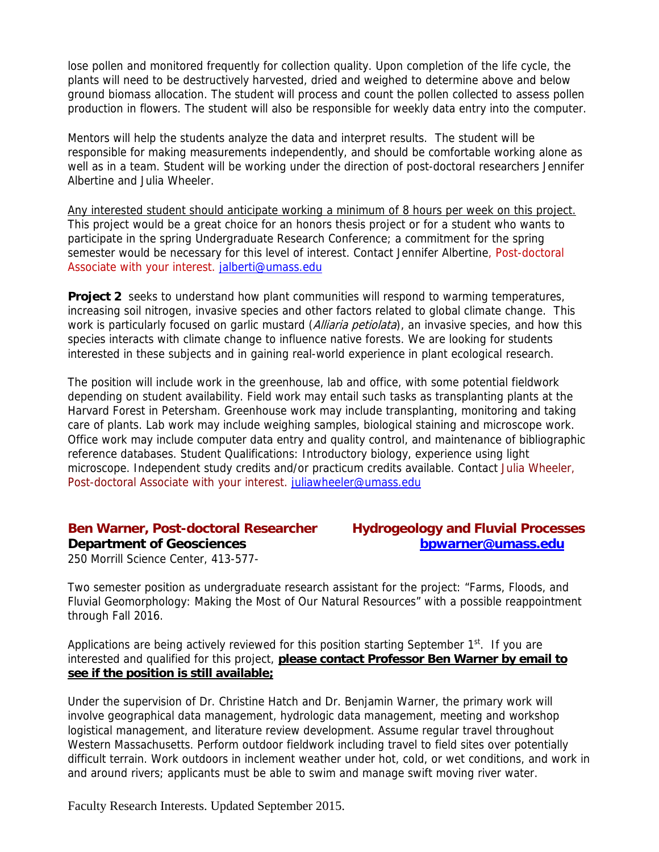lose pollen and monitored frequently for collection quality. Upon completion of the life cycle, the plants will need to be destructively harvested, dried and weighed to determine above and below ground biomass allocation. The student will process and count the pollen collected to assess pollen production in flowers. The student will also be responsible for weekly data entry into the computer.

Mentors will help the students analyze the data and interpret results. The student will be responsible for making measurements independently, and should be comfortable working alone as well as in a team. Student will be working under the direction of post-doctoral researchers Jennifer Albertine and Julia Wheeler.

Any interested student should anticipate working a minimum of 8 hours per week on this project. This project would be a great choice for an honors thesis project or for a student who wants to participate in the spring Undergraduate Research Conference; a commitment for the spring semester would be necessary for this level of interest. Contact Jennifer Albertine, Post-doctoral Associate with your interest. jalberti@umass.edu

**Project 2** seeks to understand how plant communities will respond to warming temperatures, increasing soil nitrogen, invasive species and other factors related to global climate change. This work is particularly focused on garlic mustard (Alliaria petiolata), an invasive species, and how this species interacts with climate change to influence native forests. We are looking for students interested in these subjects and in gaining real-world experience in plant ecological research.

The position will include work in the greenhouse, lab and office, with some potential fieldwork depending on student availability. Field work may entail such tasks as transplanting plants at the Harvard Forest in Petersham. Greenhouse work may include transplanting, monitoring and taking care of plants. Lab work may include weighing samples, biological staining and microscope work. Office work may include computer data entry and quality control, and maintenance of bibliographic reference databases. Student Qualifications: Introductory biology, experience using light microscope. Independent study credits and/or practicum credits available. Contact Julia Wheeler, Post-doctoral Associate with your interest. juliawheeler@umass.edu

**Department of Geosciences** between the boundary boundary boundary behavior of the boundary boundary behavior of the boundary boundary behavior of the boundary behavior of the boundary behavior of the boundary behavior of

# **Ben Warner, Post-doctoral Researcher Hydrogeology and Fluvial Processes**

250 Morrill Science Center, 413-577-

Two semester position as undergraduate research assistant for the project: "Farms, Floods, and Fluvial Geomorphology: Making the Most of Our Natural Resources" with a possible reappointment through Fall 2016.

Applications are being actively reviewed for this position starting September  $1<sup>st</sup>$ . If you are interested and qualified for this project, **please contact Professor Ben Warner by email to see if the position is still available;**

Under the supervision of Dr. Christine Hatch and Dr. Benjamin Warner, the primary work will involve geographical data management, hydrologic data management, meeting and workshop logistical management, and literature review development. Assume regular travel throughout Western Massachusetts. Perform outdoor fieldwork including travel to field sites over potentially difficult terrain. Work outdoors in inclement weather under hot, cold, or wet conditions, and work in and around rivers; applicants must be able to swim and manage swift moving river water.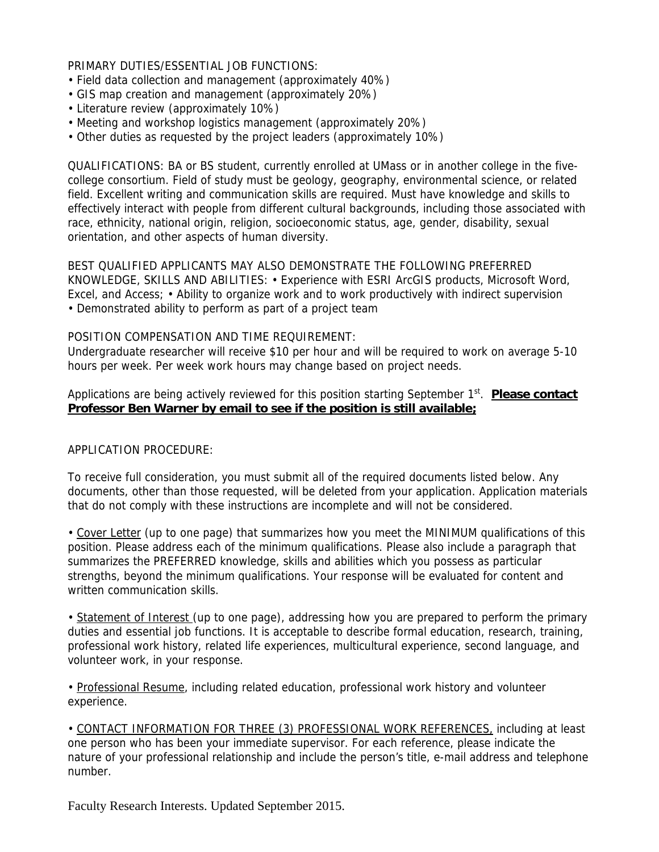PRIMARY DUTIES/ESSENTIAL JOB FUNCTIONS:

- Field data collection and management (approximately 40%)
- GIS map creation and management (approximately 20%)
- Literature review (approximately 10%)
- Meeting and workshop logistics management (approximately 20%)
- Other duties as requested by the project leaders (approximately 10%)

QUALIFICATIONS: BA or BS student, currently enrolled at UMass or in another college in the fivecollege consortium. Field of study must be geology, geography, environmental science, or related field. Excellent writing and communication skills are required. Must have knowledge and skills to effectively interact with people from different cultural backgrounds, including those associated with race, ethnicity, national origin, religion, socioeconomic status, age, gender, disability, sexual orientation, and other aspects of human diversity.

BEST QUALIFIED APPLICANTS MAY ALSO DEMONSTRATE THE FOLLOWING PREFERRED KNOWLEDGE, SKILLS AND ABILITIES: • Experience with ESRI ArcGIS products, Microsoft Word, Excel, and Access; • Ability to organize work and to work productively with indirect supervision • Demonstrated ability to perform as part of a project team

### POSITION COMPENSATION AND TIME REQUIREMENT:

Undergraduate researcher will receive \$10 per hour and will be required to work on average 5-10 hours per week. Per week work hours may change based on project needs.

Applications are being actively reviewed for this position starting September 1<sup>st</sup>. **Please contact Professor Ben Warner by email to see if the position is still available;**

### APPLICATION PROCEDURE:

To receive full consideration, you must submit all of the required documents listed below. Any documents, other than those requested, will be deleted from your application. Application materials that do not comply with these instructions are incomplete and will not be considered.

• Cover Letter (up to one page) that summarizes how you meet the MINIMUM qualifications of this position. Please address each of the minimum qualifications. Please also include a paragraph that summarizes the PREFERRED knowledge, skills and abilities which you possess as particular strengths, beyond the minimum qualifications. Your response will be evaluated for content and written communication skills.

• Statement of Interest (up to one page), addressing how you are prepared to perform the primary duties and essential job functions. It is acceptable to describe formal education, research, training, professional work history, related life experiences, multicultural experience, second language, and volunteer work, in your response.

• Professional Resume, including related education, professional work history and volunteer experience.

• CONTACT INFORMATION FOR THREE (3) PROFESSIONAL WORK REFERENCES, including at least one person who has been your immediate supervisor. For each reference, please indicate the nature of your professional relationship and include the person's title, e-mail address and telephone number.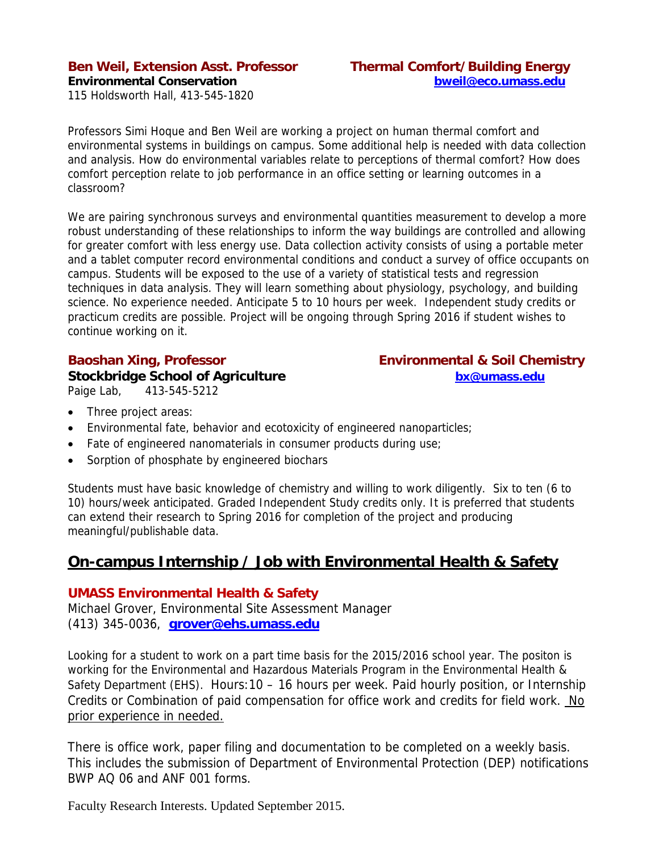### **Ben Weil, Extension Asst. Professor Thermal Comfort/Building Energy Environmental Conservation bweil@eco.umass.edu**

115 Holdsworth Hall, 413-545-1820

Professors Simi Hoque and Ben Weil are working a project on human thermal comfort and environmental systems in buildings on campus. Some additional help is needed with data collection and analysis. How do environmental variables relate to perceptions of thermal comfort? How does comfort perception relate to job performance in an office setting or learning outcomes in a classroom?

We are pairing synchronous surveys and environmental quantities measurement to develop a more robust understanding of these relationships to inform the way buildings are controlled and allowing for greater comfort with less energy use. Data collection activity consists of using a portable meter and a tablet computer record environmental conditions and conduct a survey of office occupants on campus. Students will be exposed to the use of a variety of statistical tests and regression techniques in data analysis. They will learn something about physiology, psychology, and building science. No experience needed. Anticipate 5 to 10 hours per week. Independent study credits or practicum credits are possible. Project will be ongoing through Spring 2016 if student wishes to continue working on it.

**Stockbridge School of Agriculture bx@umass.edu** Paige Lab, 413-545-5212

# **Baoshan Xing, Professor Environmental & Soil Chemistry**

- Three project areas:
- Environmental fate, behavior and ecotoxicity of engineered nanoparticles;
- Fate of engineered nanomaterials in consumer products during use;
- Sorption of phosphate by engineered biochars

Students must have basic knowledge of chemistry and willing to work diligently. Six to ten (6 to 10) hours/week anticipated. Graded Independent Study credits only. It is preferred that students can extend their research to Spring 2016 for completion of the project and producing meaningful/publishable data.

### **On-campus Internship / Job with Environmental Health & Safety**

### **UMASS Environmental Health & Safety**

Michael Grover, Environmental Site Assessment Manager (413) 345-0036, **grover@ehs.umass.edu**

Looking for a student to work on a part time basis for the 2015/2016 school year. The positon is working for the Environmental and Hazardous Materials Program in the Environmental Health & Safety Department (EHS). Hours:10 – 16 hours per week. Paid hourly position, or Internship Credits or Combination of paid compensation for office work and credits for field work. No prior experience in needed.

There is office work, paper filing and documentation to be completed on a weekly basis. This includes the submission of Department of Environmental Protection (DEP) notifications BWP AQ 06 and ANF 001 forms.